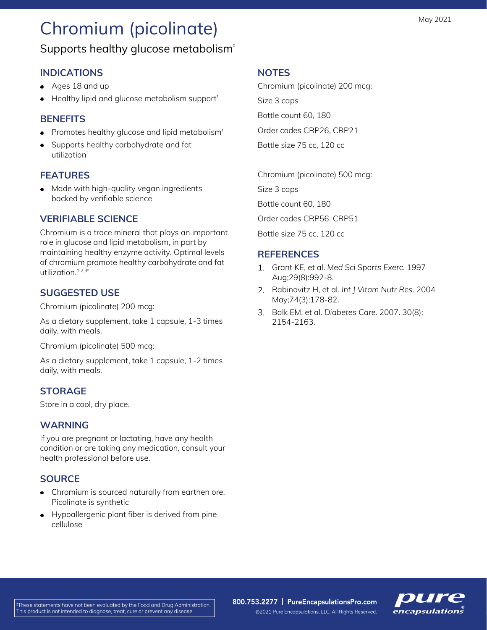# Chromium (picolinate)

## Supports healthy glucose metabolism<sup>+</sup>

### **INDICATIONS**

- Ages 18 and up
- $\bullet$  Healthy lipid and glucose metabolism support<sup> $\dagger$ </sup>

#### **BENEFITS**

- Promotes healthy glucose and lipid metabolism<sup>®</sup>
- Supports healthy carbohydrate and fat utilization<sup>#</sup>

#### **FEATURES**

• Made with high-quality vegan ingredients backed by verifiable science

#### **VERIFIABLE SCIENCE**

Chromium is a trace mineral that plays an important role in glucose and lipid metabolism, in part by maintaining healthy enzyme activity. Optimal levels of chromium promote healthy carbohydrate and fat utilization.<sup>1,2,3‡</sup>

#### **SUGGESTED USE**

Chromium (picolinate) 200 mcg:

As a dietary supplement, take 1 capsule, 1-3 times daily, with meals.

Chromium (picolinate) 500 mcg:

As a dietary supplement, take 1 capsule, 1-2 times daily, with meals.

### **STORAGE**

Store in a cool, dry place.

#### **WARNING**

If you are pregnant or lactating, have any health condition or are taking any medication, consult your health professional before use.

### **SOURCE**

- Chromium is sourced naturally from earthen ore. Picolinate is synthetic
- Hypoallergenic plant fiber is derived from pine cellulose

#### **NOTES**

Chromium (picolinate) 200 mcg:

Size 3 caps

Bottle count 60, 180

Order codes CRP26, CRP21

Bottle size 75 cc, 120 cc

Chromium (picolinate) 500 mcg:

Size 3 caps

Bottle count 60, 180

Order codes CRP56. CRP51

Bottle size 75 cc, 120 cc

#### **REFERENCES**

- Grant KE, et al. *Med Sci Sports Exerc*. 1997 Aug;29(8):992-8.
- Rabinovitz H, et al. *Int J Vitam Nutr Res*. 2004 May;74(3):178-82.
- Balk EM, et al. *Diabetes Care.* 2007. 30(8); 2154-2163.

800.753.2277 | PureEncapsulationsPro.com ©2021 Pure Encapsulations, LLC. All Rights Reserved.